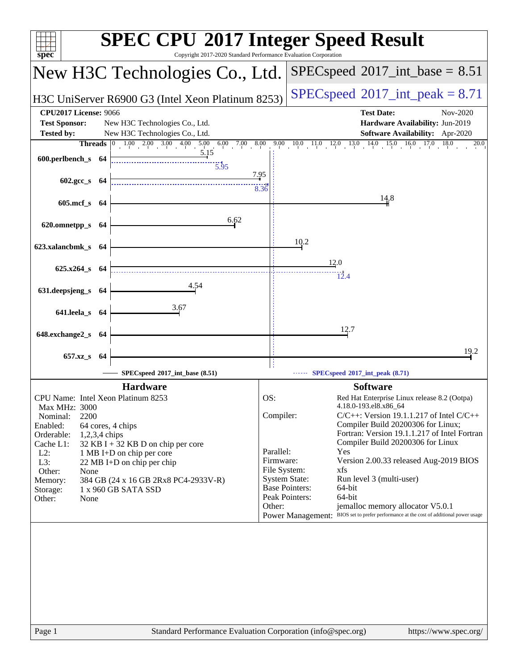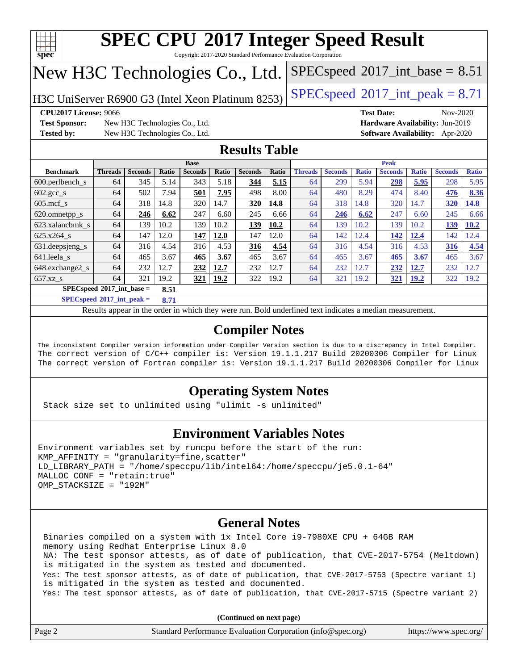

Copyright 2017-2020 Standard Performance Evaluation Corporation

## New H3C Technologies Co., Ltd.

H3C UniServer R6900 G3 (Intel Xeon Platinum 8253) [SPECspeed](http://www.spec.org/auto/cpu2017/Docs/result-fields.html#SPECspeed2017intpeak)<sup>®</sup>[2017\\_int\\_peak = 8](http://www.spec.org/auto/cpu2017/Docs/result-fields.html#SPECspeed2017intpeak).71

 $SPECspeed^{\circ}2017\_int\_base = 8.51$  $SPECspeed^{\circ}2017\_int\_base = 8.51$ 

**[CPU2017 License:](http://www.spec.org/auto/cpu2017/Docs/result-fields.html#CPU2017License)** 9066 **[Test Date:](http://www.spec.org/auto/cpu2017/Docs/result-fields.html#TestDate)** Nov-2020

**[Test Sponsor:](http://www.spec.org/auto/cpu2017/Docs/result-fields.html#TestSponsor)** New H3C Technologies Co., Ltd. **[Hardware Availability:](http://www.spec.org/auto/cpu2017/Docs/result-fields.html#HardwareAvailability)** Jun-2019 **[Tested by:](http://www.spec.org/auto/cpu2017/Docs/result-fields.html#Testedby)** New H3C Technologies Co., Ltd. **[Software Availability:](http://www.spec.org/auto/cpu2017/Docs/result-fields.html#SoftwareAvailability)** Apr-2020

### **[Results Table](http://www.spec.org/auto/cpu2017/Docs/result-fields.html#ResultsTable)**

|                                     | <b>Base</b>    |                |       |                |             | <b>Peak</b>    |       |                |                |              |                |              |                |              |
|-------------------------------------|----------------|----------------|-------|----------------|-------------|----------------|-------|----------------|----------------|--------------|----------------|--------------|----------------|--------------|
| <b>Benchmark</b>                    | <b>Threads</b> | <b>Seconds</b> | Ratio | <b>Seconds</b> | Ratio       | <b>Seconds</b> | Ratio | <b>Threads</b> | <b>Seconds</b> | <b>Ratio</b> | <b>Seconds</b> | <b>Ratio</b> | <b>Seconds</b> | <b>Ratio</b> |
| $600.$ perlbench $\mathsf{S}$       | 64             | 345            | 5.14  | 343            | 5.18        | 344            | 5.15  | 64             | 299            | 5.94         | 298            | 5.95         | 298            | 5.95         |
| $602.\text{gcc}\_\text{s}$          | 64             | 502            | 7.94  | 501            | 7.95        | 498            | 8.00  | 64             | 480            | 8.29         | 474            | 8.40         | 476            | 8.36         |
| $605$ .mcf s                        | 64             | 318            | 14.8  | 320            | 14.7        | 320            | 14.8  | 64             | 318            | 14.8         | 320            | 14.7         | 320            | 14.8         |
| 620.omnetpp_s                       | 64             | 246            | 6.62  | 247            | 6.60        | 245            | 6.66  | 64             | 246            | 6.62         | 247            | 6.60         | 245            | 6.66         |
| 623.xalancbmk s                     | 64             | 139            | 10.2  | 139            | 10.2        | 139            | 10.2  | 64             | 139            | 10.2         | 139            | 10.2         | 139            | 10.2         |
| 625.x264 s                          | 64             | 147            | 12.0  | 147            | 12.0        | 147            | 12.0  | 64             | 142            | 12.4         | 142            | 12.4         | 142            | 12.4         |
| 631.deepsjeng_s                     | 64             | 316            | 4.54  | 316            | 4.53        | 316            | 4.54  | 64             | 316            | 4.54         | 316            | 4.53         | 316            | 4.54         |
| 641.leela_s                         | 64             | 465            | 3.67  | 465            | 3.67        | 465            | 3.67  | 64             | 465            | 3.67         | 465            | 3.67         | 465            | 3.67         |
| 648.exchange2_s                     | 64             | 232            | 12.7  | 232            | 12.7        | 232            | 12.7  | 64             | 232            | 12.7         | 232            | 12.7         | 232            | 2.7          |
| $657.xz$ s                          | 64             | 321            | 19.2  | <u>321</u>     | <b>19.2</b> | 322            | 19.2  | 64             | 321            | 19.2         | 321            | <u>19.2</u>  | 322            | 19.2         |
| $SPECspeed*2017$ int base =<br>8.51 |                |                |       |                |             |                |       |                |                |              |                |              |                |              |

**[SPECspeed](http://www.spec.org/auto/cpu2017/Docs/result-fields.html#SPECspeed2017intpeak)[2017\\_int\\_peak =](http://www.spec.org/auto/cpu2017/Docs/result-fields.html#SPECspeed2017intpeak) 8.71**

Results appear in the [order in which they were run.](http://www.spec.org/auto/cpu2017/Docs/result-fields.html#RunOrder) Bold underlined text [indicates a median measurement](http://www.spec.org/auto/cpu2017/Docs/result-fields.html#Median).

### **[Compiler Notes](http://www.spec.org/auto/cpu2017/Docs/result-fields.html#CompilerNotes)**

The inconsistent Compiler version information under Compiler Version section is due to a discrepancy in Intel Compiler. The correct version of C/C++ compiler is: Version 19.1.1.217 Build 20200306 Compiler for Linux The correct version of Fortran compiler is: Version 19.1.1.217 Build 20200306 Compiler for Linux

### **[Operating System Notes](http://www.spec.org/auto/cpu2017/Docs/result-fields.html#OperatingSystemNotes)**

Stack size set to unlimited using "ulimit -s unlimited"

#### **[Environment Variables Notes](http://www.spec.org/auto/cpu2017/Docs/result-fields.html#EnvironmentVariablesNotes)**

```
Environment variables set by runcpu before the start of the run:
KMP AFFINITY = "granularity=fine, scatter"
LD_LIBRARY_PATH = "/home/speccpu/lib/intel64:/home/speccpu/je5.0.1-64"
MALLOC_CONF = "retain:true"
OMP_STACKSIZE = "192M"
```
#### **[General Notes](http://www.spec.org/auto/cpu2017/Docs/result-fields.html#GeneralNotes)**

 Binaries compiled on a system with 1x Intel Core i9-7980XE CPU + 64GB RAM memory using Redhat Enterprise Linux 8.0 NA: The test sponsor attests, as of date of publication, that CVE-2017-5754 (Meltdown) is mitigated in the system as tested and documented. Yes: The test sponsor attests, as of date of publication, that CVE-2017-5753 (Spectre variant 1) is mitigated in the system as tested and documented. Yes: The test sponsor attests, as of date of publication, that CVE-2017-5715 (Spectre variant 2)

**(Continued on next page)**

| Page | Standard Performance Evaluation Corporation (info@spec.org) | https://www.spec.org/ |
|------|-------------------------------------------------------------|-----------------------|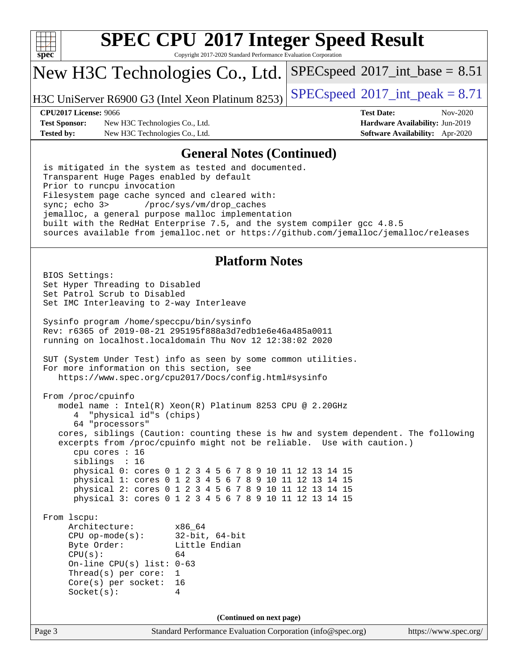

Copyright 2017-2020 Standard Performance Evaluation Corporation

## New H3C Technologies Co., Ltd.

H3C UniServer R6900 G3 (Intel Xeon Platinum 8253) [SPECspeed](http://www.spec.org/auto/cpu2017/Docs/result-fields.html#SPECspeed2017intpeak)<sup>®</sup>[2017\\_int\\_peak = 8](http://www.spec.org/auto/cpu2017/Docs/result-fields.html#SPECspeed2017intpeak).71

 $SPECspeed^{\circ}2017\_int\_base = 8.51$  $SPECspeed^{\circ}2017\_int\_base = 8.51$ 

**[Test Sponsor:](http://www.spec.org/auto/cpu2017/Docs/result-fields.html#TestSponsor)** New H3C Technologies Co., Ltd. **[Hardware Availability:](http://www.spec.org/auto/cpu2017/Docs/result-fields.html#HardwareAvailability)** Jun-2019 **[Tested by:](http://www.spec.org/auto/cpu2017/Docs/result-fields.html#Testedby)** New H3C Technologies Co., Ltd. **[Software Availability:](http://www.spec.org/auto/cpu2017/Docs/result-fields.html#SoftwareAvailability)** Apr-2020

**[CPU2017 License:](http://www.spec.org/auto/cpu2017/Docs/result-fields.html#CPU2017License)** 9066 **[Test Date:](http://www.spec.org/auto/cpu2017/Docs/result-fields.html#TestDate)** Nov-2020

#### **[General Notes \(Continued\)](http://www.spec.org/auto/cpu2017/Docs/result-fields.html#GeneralNotes)**

 is mitigated in the system as tested and documented. Transparent Huge Pages enabled by default Prior to runcpu invocation Filesystem page cache synced and cleared with: sync; echo 3> /proc/sys/vm/drop\_caches jemalloc, a general purpose malloc implementation built with the RedHat Enterprise 7.5, and the system compiler gcc 4.8.5 sources available from jemalloc.net or <https://github.com/jemalloc/jemalloc/releases>

#### **[Platform Notes](http://www.spec.org/auto/cpu2017/Docs/result-fields.html#PlatformNotes)**

```
(info@spec.org)https://www.spec.org/
  BIOS Settings:
  Set Hyper Threading to Disabled
  Set Patrol Scrub to Disabled
  Set IMC Interleaving to 2-way Interleave
  Sysinfo program /home/speccpu/bin/sysinfo
  Rev: r6365 of 2019-08-21 295195f888a3d7edb1e6e46a485a0011
  running on localhost.localdomain Thu Nov 12 12:38:02 2020
  SUT (System Under Test) info as seen by some common utilities.
  For more information on this section, see
     https://www.spec.org/cpu2017/Docs/config.html#sysinfo
  From /proc/cpuinfo
     model name : Intel(R) Xeon(R) Platinum 8253 CPU @ 2.20GHz
        4 "physical id"s (chips)
        64 "processors"
     cores, siblings (Caution: counting these is hw and system dependent. The following
     excerpts from /proc/cpuinfo might not be reliable. Use with caution.)
        cpu cores : 16
        siblings : 16
        physical 0: cores 0 1 2 3 4 5 6 7 8 9 10 11 12 13 14 15
        physical 1: cores 0 1 2 3 4 5 6 7 8 9 10 11 12 13 14 15
        physical 2: cores 0 1 2 3 4 5 6 7 8 9 10 11 12 13 14 15
        physical 3: cores 0 1 2 3 4 5 6 7 8 9 10 11 12 13 14 15
  From lscpu:
       Architecture: x86_64
       CPU op-mode(s): 32-bit, 64-bit
      Byte Order: Little Endian
      CPU(s): 64
       On-line CPU(s) list: 0-63
       Thread(s) per core: 1
       Core(s) per socket: 16
      Socket(s): 4
                                  (Continued on next page)
```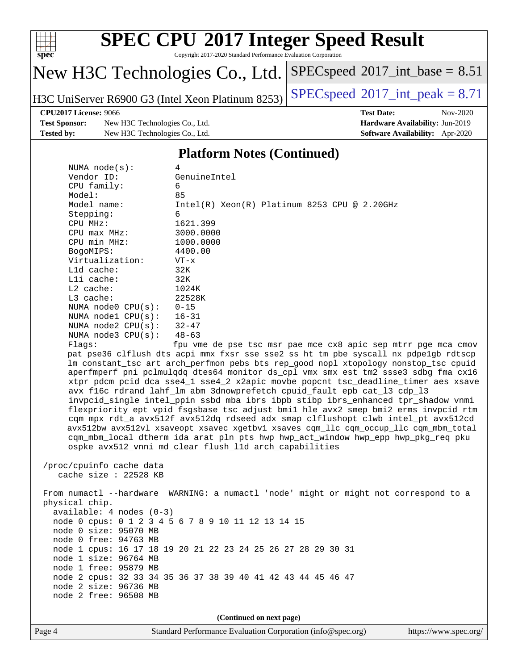

Copyright 2017-2020 Standard Performance Evaluation Corporation

# New H3C Technologies Co., Ltd.

H3C UniServer R6900 G3 (Intel Xeon Platinum 8253) [SPECspeed](http://www.spec.org/auto/cpu2017/Docs/result-fields.html#SPECspeed2017intpeak)<sup>®</sup>[2017\\_int\\_peak = 8](http://www.spec.org/auto/cpu2017/Docs/result-fields.html#SPECspeed2017intpeak).71

 $SPECspeed^{\circledcirc}2017\_int\_base = 8.51$  $SPECspeed^{\circledcirc}2017\_int\_base = 8.51$ 

**[Test Sponsor:](http://www.spec.org/auto/cpu2017/Docs/result-fields.html#TestSponsor)** New H3C Technologies Co., Ltd. **[Hardware Availability:](http://www.spec.org/auto/cpu2017/Docs/result-fields.html#HardwareAvailability)** Jun-2019 **[Tested by:](http://www.spec.org/auto/cpu2017/Docs/result-fields.html#Testedby)** New H3C Technologies Co., Ltd. **[Software Availability:](http://www.spec.org/auto/cpu2017/Docs/result-fields.html#SoftwareAvailability)** Apr-2020

**[CPU2017 License:](http://www.spec.org/auto/cpu2017/Docs/result-fields.html#CPU2017License)** 9066 **[Test Date:](http://www.spec.org/auto/cpu2017/Docs/result-fields.html#TestDate)** Nov-2020

#### **[Platform Notes \(Continued\)](http://www.spec.org/auto/cpu2017/Docs/result-fields.html#PlatformNotes)**

|                | NUMA node(s):                                                                    | 4                                                                                    |  |  |  |  |
|----------------|----------------------------------------------------------------------------------|--------------------------------------------------------------------------------------|--|--|--|--|
| Vendor ID:     |                                                                                  | GenuineIntel                                                                         |  |  |  |  |
| CPU family:    |                                                                                  | 6                                                                                    |  |  |  |  |
| Model:         |                                                                                  | 85                                                                                   |  |  |  |  |
| Model name:    |                                                                                  | $Intel(R)$ Xeon $(R)$ Platinum 8253 CPU @ 2.20GHz                                    |  |  |  |  |
| Stepping:      |                                                                                  | 6                                                                                    |  |  |  |  |
| CPU MHz:       |                                                                                  | 1621.399                                                                             |  |  |  |  |
| CPU max MHz:   |                                                                                  | 3000.0000                                                                            |  |  |  |  |
| CPU min MHz:   |                                                                                  | 1000.0000                                                                            |  |  |  |  |
| BogoMIPS:      |                                                                                  | 4400.00                                                                              |  |  |  |  |
|                | Virtualization:                                                                  | $VT - x$                                                                             |  |  |  |  |
| $L1d$ cache:   |                                                                                  | 32K                                                                                  |  |  |  |  |
| Lli cache:     |                                                                                  | 32K                                                                                  |  |  |  |  |
| $L2$ cache:    |                                                                                  | 1024K                                                                                |  |  |  |  |
| $L3$ cache:    |                                                                                  | 22528K                                                                               |  |  |  |  |
|                | NUMA node0 CPU(s):                                                               | $0 - 15$                                                                             |  |  |  |  |
|                | NUMA nodel $CPU(s): 16-31$                                                       |                                                                                      |  |  |  |  |
|                | NUMA $node2$ $CPU(s):$                                                           | $32 - 47$                                                                            |  |  |  |  |
|                | NUMA $node3$ $CPU(s)$ :                                                          | $48 - 63$                                                                            |  |  |  |  |
| Flaqs:         |                                                                                  | fpu vme de pse tsc msr pae mce cx8 apic sep mtrr pge mca cmov                        |  |  |  |  |
|                |                                                                                  | pat pse36 clflush dts acpi mmx fxsr sse sse2 ss ht tm pbe syscall nx pdpelgb rdtscp  |  |  |  |  |
|                |                                                                                  | lm constant_tsc art arch_perfmon pebs bts rep_good nopl xtopology nonstop_tsc cpuid  |  |  |  |  |
|                |                                                                                  | aperfmperf pni pclmulqdq dtes64 monitor ds_cpl vmx smx est tm2 ssse3 sdbg fma cx16   |  |  |  |  |
|                |                                                                                  | xtpr pdcm pcid dca sse4_1 sse4_2 x2apic movbe popcnt tsc_deadline_timer aes xsave    |  |  |  |  |
|                |                                                                                  | avx f16c rdrand lahf_lm abm 3dnowprefetch cpuid_fault epb cat_13 cdp_13              |  |  |  |  |
|                |                                                                                  | invpcid_single intel_ppin ssbd mba ibrs ibpb stibp ibrs_enhanced tpr_shadow vnmi     |  |  |  |  |
|                |                                                                                  | flexpriority ept vpid fsgsbase tsc_adjust bmil hle avx2 smep bmi2 erms invpcid rtm   |  |  |  |  |
|                |                                                                                  | cqm mpx rdt_a avx512f avx512dq rdseed adx smap clflushopt clwb intel_pt avx512cd     |  |  |  |  |
|                |                                                                                  | avx512bw avx512vl xsaveopt xsavec xgetbvl xsaves cqm_llc cqm_occup_llc cqm_mbm_total |  |  |  |  |
|                | cqm_mbm_local dtherm ida arat pln pts hwp hwp_act_window hwp_epp hwp_pkg_req pku |                                                                                      |  |  |  |  |
|                |                                                                                  | ospke avx512_vnni md_clear flush_l1d arch_capabilities                               |  |  |  |  |
|                |                                                                                  |                                                                                      |  |  |  |  |
|                | /proc/cpuinfo cache data                                                         |                                                                                      |  |  |  |  |
|                | cache size $: 22528$ KB                                                          |                                                                                      |  |  |  |  |
|                |                                                                                  |                                                                                      |  |  |  |  |
|                |                                                                                  | From numactl --hardware WARNING: a numactl 'node' might or might not correspond to a |  |  |  |  |
| physical chip. |                                                                                  |                                                                                      |  |  |  |  |
|                | $available: 4 nodes (0-3)$                                                       |                                                                                      |  |  |  |  |

node 0 cpus: 0 1 2 3 4 5 6 7 8 9 10 11 12 13 14 15

node 1 cpus: 16 17 18 19 20 21 22 23 24 25 26 27 28 29 30 31

node 2 cpus: 32 33 34 35 36 37 38 39 40 41 42 43 44 45 46 47

 node 0 size: 95070 MB node 0 free: 94763 MB

 node 1 size: 96764 MB node 1 free: 95879 MB

 node 2 size: 96736 MB node 2 free: 96508 MB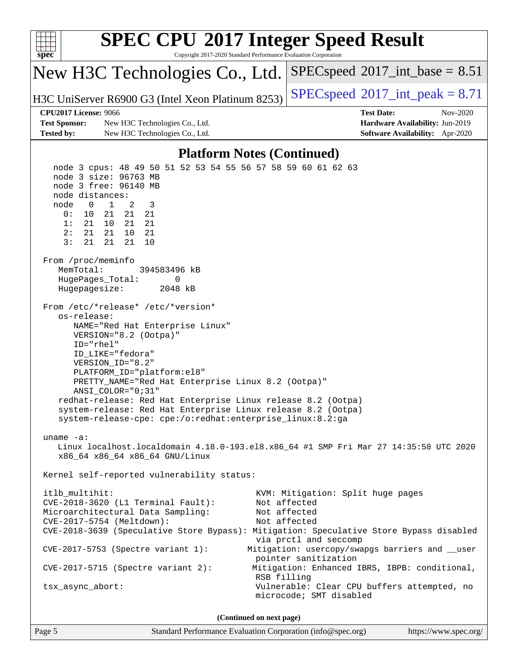| $spec^*$                                                                                                                                                                                                                                                                                                                                                                                                                                                                                                                                                                                                                                                                                                                                                                                                                                                                                                                                                                                                                                                                                                                                                                                                                                                                                                                                                                                                                             |                                                   | <b>SPEC CPU®2017 Integer Speed Result</b><br>Copyright 2017-2020 Standard Performance Evaluation Corporation |  |  |  |
|--------------------------------------------------------------------------------------------------------------------------------------------------------------------------------------------------------------------------------------------------------------------------------------------------------------------------------------------------------------------------------------------------------------------------------------------------------------------------------------------------------------------------------------------------------------------------------------------------------------------------------------------------------------------------------------------------------------------------------------------------------------------------------------------------------------------------------------------------------------------------------------------------------------------------------------------------------------------------------------------------------------------------------------------------------------------------------------------------------------------------------------------------------------------------------------------------------------------------------------------------------------------------------------------------------------------------------------------------------------------------------------------------------------------------------------|---------------------------------------------------|--------------------------------------------------------------------------------------------------------------|--|--|--|
|                                                                                                                                                                                                                                                                                                                                                                                                                                                                                                                                                                                                                                                                                                                                                                                                                                                                                                                                                                                                                                                                                                                                                                                                                                                                                                                                                                                                                                      | New H3C Technologies Co., Ltd.                    | $SPEC speed^{\circ}2017\_int\_base = 8.51$                                                                   |  |  |  |
|                                                                                                                                                                                                                                                                                                                                                                                                                                                                                                                                                                                                                                                                                                                                                                                                                                                                                                                                                                                                                                                                                                                                                                                                                                                                                                                                                                                                                                      | H3C UniServer R6900 G3 (Intel Xeon Platinum 8253) | $SPEC speed^{\circ}2017\_int\_peak = 8.71$                                                                   |  |  |  |
|                                                                                                                                                                                                                                                                                                                                                                                                                                                                                                                                                                                                                                                                                                                                                                                                                                                                                                                                                                                                                                                                                                                                                                                                                                                                                                                                                                                                                                      | <b>CPU2017 License: 9066</b>                      | <b>Test Date:</b><br>Nov-2020                                                                                |  |  |  |
| <b>Test Sponsor:</b>                                                                                                                                                                                                                                                                                                                                                                                                                                                                                                                                                                                                                                                                                                                                                                                                                                                                                                                                                                                                                                                                                                                                                                                                                                                                                                                                                                                                                 | New H3C Technologies Co., Ltd.                    | Hardware Availability: Jun-2019                                                                              |  |  |  |
| <b>Tested by:</b>                                                                                                                                                                                                                                                                                                                                                                                                                                                                                                                                                                                                                                                                                                                                                                                                                                                                                                                                                                                                                                                                                                                                                                                                                                                                                                                                                                                                                    | New H3C Technologies Co., Ltd.                    | Software Availability: Apr-2020                                                                              |  |  |  |
|                                                                                                                                                                                                                                                                                                                                                                                                                                                                                                                                                                                                                                                                                                                                                                                                                                                                                                                                                                                                                                                                                                                                                                                                                                                                                                                                                                                                                                      |                                                   | <b>Platform Notes (Continued)</b>                                                                            |  |  |  |
| node 3 cpus: 48 49 50 51 52 53 54 55 56 57 58 59 60 61 62 63<br>node 3 size: 96763 MB<br>node 3 free: 96140 MB<br>node distances:<br>2<br>$\overline{0}$<br>$\mathbf{1}$<br>3<br>node<br>0:<br>10<br>21<br>21<br>21<br>1:<br>21<br>10<br>21<br>21<br>2:<br>21<br>21<br>10<br>21<br>3:<br>21<br>21<br>21<br>10<br>From /proc/meminfo<br>MemTotal:<br>394583496 kB<br>HugePages_Total:<br>0<br>Hugepagesize:<br>2048 kB<br>From /etc/*release* /etc/*version*<br>os-release:<br>NAME="Red Hat Enterprise Linux"<br>VERSION="8.2 (Ootpa)"<br>ID="rhel"<br>ID_LIKE="fedora"<br>VERSION_ID="8.2"<br>PLATFORM_ID="platform:el8"<br>PRETTY_NAME="Red Hat Enterprise Linux 8.2 (Ootpa)"<br>$ANSI$ _COLOR=" $0:31$ "<br>redhat-release: Red Hat Enterprise Linux release 8.2 (Ootpa)<br>system-release: Red Hat Enterprise Linux release 8.2 (Ootpa)<br>system-release-cpe: cpe:/o:redhat:enterprise_linux:8.2:ga<br>uname $-a$ :<br>Linux localhost.localdomain 4.18.0-193.el8.x86_64 #1 SMP Fri Mar 27 14:35:58 UTC 2020<br>x86 64 x86 64 x86 64 GNU/Linux<br>Kernel self-reported vulnerability status:<br>itlb multihit:<br>KVM: Mitigation: Split huge pages<br>CVE-2018-3620 (L1 Terminal Fault):<br>Not affected<br>Microarchitectural Data Sampling:<br>Not affected<br>CVE-2017-5754 (Meltdown):<br>Not affected<br>CVE-2018-3639 (Speculative Store Bypass): Mitigation: Speculative Store Bypass disabled<br>via prctl and seccomp |                                                   |                                                                                                              |  |  |  |
|                                                                                                                                                                                                                                                                                                                                                                                                                                                                                                                                                                                                                                                                                                                                                                                                                                                                                                                                                                                                                                                                                                                                                                                                                                                                                                                                                                                                                                      | $CVE-2017-5715$ (Spectre variant 2):              | pointer sanitization<br>Mitigation: Enhanced IBRS, IBPB: conditional,                                        |  |  |  |
|                                                                                                                                                                                                                                                                                                                                                                                                                                                                                                                                                                                                                                                                                                                                                                                                                                                                                                                                                                                                                                                                                                                                                                                                                                                                                                                                                                                                                                      | tsx_async_abort:                                  | RSB filling<br>Vulnerable: Clear CPU buffers attempted, no<br>microcode; SMT disabled                        |  |  |  |
|                                                                                                                                                                                                                                                                                                                                                                                                                                                                                                                                                                                                                                                                                                                                                                                                                                                                                                                                                                                                                                                                                                                                                                                                                                                                                                                                                                                                                                      |                                                   | (Continued on next page)                                                                                     |  |  |  |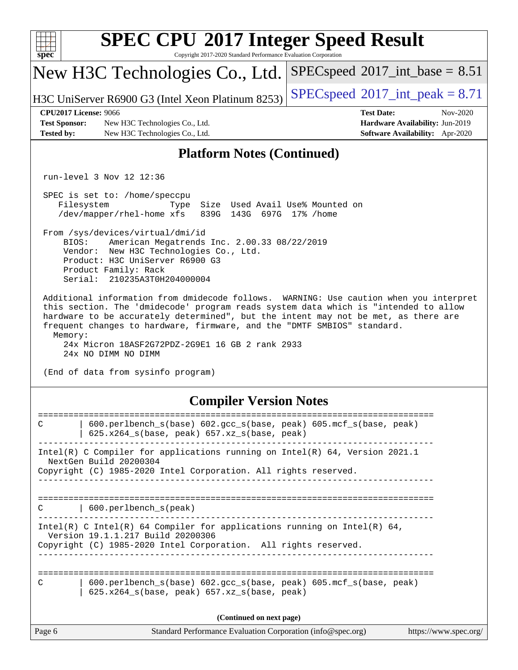| spec                                                                                                                                                                                                                                                                                                                                                                                                                                | <b>SPEC CPU®2017 Integer Speed Result</b><br>Copyright 2017-2020 Standard Performance Evaluation Corporation                                                                                                                  |                                                                                                            |  |  |  |  |
|-------------------------------------------------------------------------------------------------------------------------------------------------------------------------------------------------------------------------------------------------------------------------------------------------------------------------------------------------------------------------------------------------------------------------------------|-------------------------------------------------------------------------------------------------------------------------------------------------------------------------------------------------------------------------------|------------------------------------------------------------------------------------------------------------|--|--|--|--|
|                                                                                                                                                                                                                                                                                                                                                                                                                                     | New H3C Technologies Co., Ltd.                                                                                                                                                                                                | $SPEC speed^{\circ}2017\_int\_base = 8.51$                                                                 |  |  |  |  |
|                                                                                                                                                                                                                                                                                                                                                                                                                                     | H3C UniServer R6900 G3 (Intel Xeon Platinum 8253)                                                                                                                                                                             | $SPEC speed^{\circ}2017\_int\_peak = 8.71$                                                                 |  |  |  |  |
| <b>CPU2017 License: 9066</b><br><b>Test Sponsor:</b><br><b>Tested by:</b>                                                                                                                                                                                                                                                                                                                                                           | New H3C Technologies Co., Ltd.<br>New H3C Technologies Co., Ltd.                                                                                                                                                              | <b>Test Date:</b><br>Nov-2020<br>Hardware Availability: Jun-2019<br><b>Software Availability:</b> Apr-2020 |  |  |  |  |
|                                                                                                                                                                                                                                                                                                                                                                                                                                     | <b>Platform Notes (Continued)</b>                                                                                                                                                                                             |                                                                                                            |  |  |  |  |
|                                                                                                                                                                                                                                                                                                                                                                                                                                     | run-level 3 Nov 12 12:36                                                                                                                                                                                                      |                                                                                                            |  |  |  |  |
|                                                                                                                                                                                                                                                                                                                                                                                                                                     | SPEC is set to: /home/speccpu<br>Filesystem<br>Size Used Avail Use% Mounted on<br>Type<br>/dev/mapper/rhel-home xfs<br>839G 143G 697G 17% / home                                                                              |                                                                                                            |  |  |  |  |
|                                                                                                                                                                                                                                                                                                                                                                                                                                     | From /sys/devices/virtual/dmi/id<br>BIOS:<br>American Megatrends Inc. 2.00.33 08/22/2019<br>Vendor: New H3C Technologies Co., Ltd.<br>Product: H3C UniServer R6900 G3<br>Product Family: Rack<br>Serial: 210235A3T0H204000004 |                                                                                                            |  |  |  |  |
| Additional information from dmidecode follows. WARNING: Use caution when you interpret<br>this section. The 'dmidecode' program reads system data which is "intended to allow<br>hardware to be accurately determined", but the intent may not be met, as there are<br>frequent changes to hardware, firmware, and the "DMTF SMBIOS" standard.<br>Memory:<br>24x Micron 18ASF2G72PDZ-2G9E1 16 GB 2 rank 2933<br>24x NO DIMM NO DIMM |                                                                                                                                                                                                                               |                                                                                                            |  |  |  |  |
| (End of data from sysinfo program)                                                                                                                                                                                                                                                                                                                                                                                                  |                                                                                                                                                                                                                               |                                                                                                            |  |  |  |  |
| <b>Compiler Version Notes</b>                                                                                                                                                                                                                                                                                                                                                                                                       |                                                                                                                                                                                                                               |                                                                                                            |  |  |  |  |
| C                                                                                                                                                                                                                                                                                                                                                                                                                                   | 600.perlbench_s(base) 602.gcc_s(base, peak) 605.mcf_s(base, peak)<br>625.x264_s(base, peak) 657.xz_s(base, peak)                                                                                                              |                                                                                                            |  |  |  |  |
|                                                                                                                                                                                                                                                                                                                                                                                                                                     | Intel(R) C Compiler for applications running on Intel(R) $64$ , Version 2021.1<br>NextGen Build 20200304                                                                                                                      |                                                                                                            |  |  |  |  |
| Copyright (C) 1985-2020 Intel Corporation. All rights reserved.                                                                                                                                                                                                                                                                                                                                                                     |                                                                                                                                                                                                                               |                                                                                                            |  |  |  |  |
| 600.perlbench_s(peak)<br>С                                                                                                                                                                                                                                                                                                                                                                                                          |                                                                                                                                                                                                                               |                                                                                                            |  |  |  |  |
| Intel(R) C Intel(R) 64 Compiler for applications running on Intel(R) 64,<br>Version 19.1.1.217 Build 20200306<br>Copyright (C) 1985-2020 Intel Corporation. All rights reserved.<br>-----------                                                                                                                                                                                                                                     |                                                                                                                                                                                                                               |                                                                                                            |  |  |  |  |
| C                                                                                                                                                                                                                                                                                                                                                                                                                                   | 600.perlbench_s(base) 602.gcc_s(base, peak) 605.mcf_s(base, peak)<br>625.x264_s(base, peak) 657.xz_s(base, peak)                                                                                                              |                                                                                                            |  |  |  |  |
|                                                                                                                                                                                                                                                                                                                                                                                                                                     | (Continued on next page)                                                                                                                                                                                                      |                                                                                                            |  |  |  |  |
| Page 6                                                                                                                                                                                                                                                                                                                                                                                                                              | Standard Performance Evaluation Corporation (info@spec.org)                                                                                                                                                                   | https://www.spec.org/                                                                                      |  |  |  |  |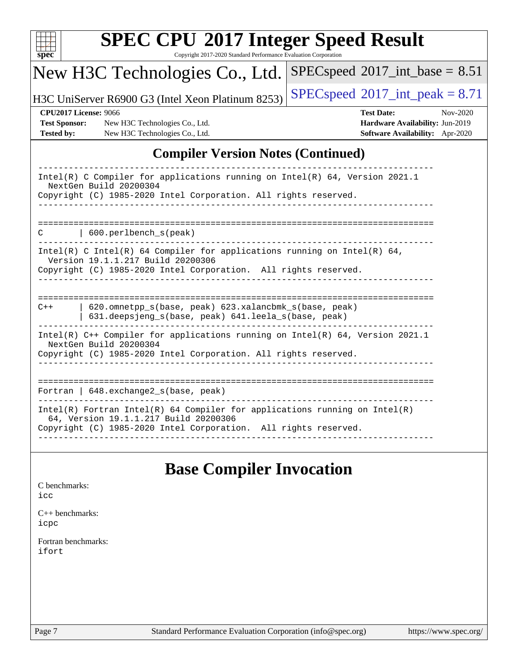| S)<br>E<br>U |  |  |  |  |  |
|--------------|--|--|--|--|--|

Copyright 2017-2020 Standard Performance Evaluation Corporation

#### New H3C Technologies Co., Ltd.  $SPEC speed$ <sup>®</sup> $2017$ \_int\_base = 8.51

H3C UniServer R6900 G3 (Intel Xeon Platinum 8253) [SPECspeed](http://www.spec.org/auto/cpu2017/Docs/result-fields.html#SPECspeed2017intpeak)<sup>®</sup>[2017\\_int\\_peak = 8](http://www.spec.org/auto/cpu2017/Docs/result-fields.html#SPECspeed2017intpeak).71

**[Test Sponsor:](http://www.spec.org/auto/cpu2017/Docs/result-fields.html#TestSponsor)** New H3C Technologies Co., Ltd. **[Hardware Availability:](http://www.spec.org/auto/cpu2017/Docs/result-fields.html#HardwareAvailability)** Jun-2019 **[Tested by:](http://www.spec.org/auto/cpu2017/Docs/result-fields.html#Testedby)** New H3C Technologies Co., Ltd. **[Software Availability:](http://www.spec.org/auto/cpu2017/Docs/result-fields.html#SoftwareAvailability)** Apr-2020

**[CPU2017 License:](http://www.spec.org/auto/cpu2017/Docs/result-fields.html#CPU2017License)** 9066 **[Test Date:](http://www.spec.org/auto/cpu2017/Docs/result-fields.html#TestDate)** Nov-2020

### **[Compiler Version Notes \(Continued\)](http://www.spec.org/auto/cpu2017/Docs/result-fields.html#CompilerVersionNotes)**

| Intel(R) C Compiler for applications running on Intel(R) $64$ , Version 2021.1<br>NextGen Build 20200304<br>Copyright (C) 1985-2020 Intel Corporation. All rights reserved. |  |  |  |  |
|-----------------------------------------------------------------------------------------------------------------------------------------------------------------------------|--|--|--|--|
|                                                                                                                                                                             |  |  |  |  |
|                                                                                                                                                                             |  |  |  |  |
|                                                                                                                                                                             |  |  |  |  |
| 600.perlbench s(peak)<br>C                                                                                                                                                  |  |  |  |  |
|                                                                                                                                                                             |  |  |  |  |
| Intel(R) C Intel(R) 64 Compiler for applications running on Intel(R) 64,                                                                                                    |  |  |  |  |
| Version 19.1.1.217 Build 20200306                                                                                                                                           |  |  |  |  |
| Copyright (C) 1985-2020 Intel Corporation. All rights reserved.                                                                                                             |  |  |  |  |
|                                                                                                                                                                             |  |  |  |  |
|                                                                                                                                                                             |  |  |  |  |
|                                                                                                                                                                             |  |  |  |  |
| 620.omnetpp s(base, peak) 623.xalancbmk s(base, peak)<br>$C++$                                                                                                              |  |  |  |  |
| 631.deepsjeng_s(base, peak) 641.leela_s(base, peak)                                                                                                                         |  |  |  |  |
|                                                                                                                                                                             |  |  |  |  |
| Intel(R) $C++$ Compiler for applications running on Intel(R) 64, Version 2021.1                                                                                             |  |  |  |  |
| NextGen Build 20200304                                                                                                                                                      |  |  |  |  |
| Copyright (C) 1985-2020 Intel Corporation. All rights reserved.                                                                                                             |  |  |  |  |
|                                                                                                                                                                             |  |  |  |  |
|                                                                                                                                                                             |  |  |  |  |
|                                                                                                                                                                             |  |  |  |  |
| Fortran   $648$ . exchange2 $s$ (base, peak)                                                                                                                                |  |  |  |  |
|                                                                                                                                                                             |  |  |  |  |
| $Intel(R)$ Fortran Intel(R) 64 Compiler for applications running on Intel(R)                                                                                                |  |  |  |  |
| 64, Version 19.1.1.217 Build 20200306                                                                                                                                       |  |  |  |  |
| Copyright (C) 1985-2020 Intel Corporation. All rights reserved.                                                                                                             |  |  |  |  |
|                                                                                                                                                                             |  |  |  |  |

## **[Base Compiler Invocation](http://www.spec.org/auto/cpu2017/Docs/result-fields.html#BaseCompilerInvocation)**

#### [C benchmarks](http://www.spec.org/auto/cpu2017/Docs/result-fields.html#Cbenchmarks): [icc](http://www.spec.org/cpu2017/results/res2020q4/cpu2017-20201116-24396.flags.html#user_CCbase_intel_icc_66fc1ee009f7361af1fbd72ca7dcefbb700085f36577c54f309893dd4ec40d12360134090235512931783d35fd58c0460139e722d5067c5574d8eaf2b3e37e92)

[C++ benchmarks:](http://www.spec.org/auto/cpu2017/Docs/result-fields.html#CXXbenchmarks) [icpc](http://www.spec.org/cpu2017/results/res2020q4/cpu2017-20201116-24396.flags.html#user_CXXbase_intel_icpc_c510b6838c7f56d33e37e94d029a35b4a7bccf4766a728ee175e80a419847e808290a9b78be685c44ab727ea267ec2f070ec5dc83b407c0218cded6866a35d07)

[Fortran benchmarks](http://www.spec.org/auto/cpu2017/Docs/result-fields.html#Fortranbenchmarks): [ifort](http://www.spec.org/cpu2017/results/res2020q4/cpu2017-20201116-24396.flags.html#user_FCbase_intel_ifort_8111460550e3ca792625aed983ce982f94888b8b503583aa7ba2b8303487b4d8a21a13e7191a45c5fd58ff318f48f9492884d4413fa793fd88dd292cad7027ca)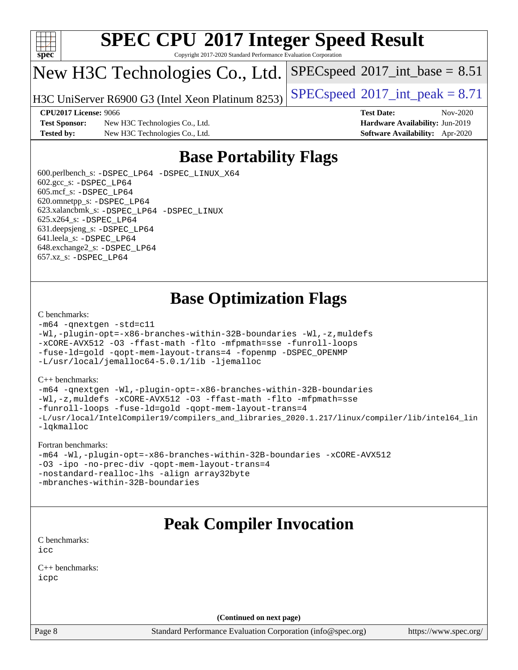

Copyright 2017-2020 Standard Performance Evaluation Corporation

## New H3C Technologies Co., Ltd.

H3C UniServer R6900 G3 (Intel Xeon Platinum 8253) [SPECspeed](http://www.spec.org/auto/cpu2017/Docs/result-fields.html#SPECspeed2017intpeak)®2017\_int\_peak =  $8.71$ 

 $SPECspeed^{\circ}2017\_int\_base = 8.51$  $SPECspeed^{\circ}2017\_int\_base = 8.51$ 

**[CPU2017 License:](http://www.spec.org/auto/cpu2017/Docs/result-fields.html#CPU2017License)** 9066 **[Test Date:](http://www.spec.org/auto/cpu2017/Docs/result-fields.html#TestDate)** Nov-2020

**[Test Sponsor:](http://www.spec.org/auto/cpu2017/Docs/result-fields.html#TestSponsor)** New H3C Technologies Co., Ltd. **[Hardware Availability:](http://www.spec.org/auto/cpu2017/Docs/result-fields.html#HardwareAvailability)** Jun-2019 **[Tested by:](http://www.spec.org/auto/cpu2017/Docs/result-fields.html#Testedby)** New H3C Technologies Co., Ltd. **[Software Availability:](http://www.spec.org/auto/cpu2017/Docs/result-fields.html#SoftwareAvailability)** Apr-2020

# **[Base Portability Flags](http://www.spec.org/auto/cpu2017/Docs/result-fields.html#BasePortabilityFlags)**

 600.perlbench\_s: [-DSPEC\\_LP64](http://www.spec.org/cpu2017/results/res2020q4/cpu2017-20201116-24396.flags.html#b600.perlbench_s_basePORTABILITY_DSPEC_LP64) [-DSPEC\\_LINUX\\_X64](http://www.spec.org/cpu2017/results/res2020q4/cpu2017-20201116-24396.flags.html#b600.perlbench_s_baseCPORTABILITY_DSPEC_LINUX_X64)  $602.\text{gcc}\$ s:  $-DSPEC$  LP64 605.mcf\_s: [-DSPEC\\_LP64](http://www.spec.org/cpu2017/results/res2020q4/cpu2017-20201116-24396.flags.html#suite_basePORTABILITY605_mcf_s_DSPEC_LP64) 620.omnetpp\_s: [-DSPEC\\_LP64](http://www.spec.org/cpu2017/results/res2020q4/cpu2017-20201116-24396.flags.html#suite_basePORTABILITY620_omnetpp_s_DSPEC_LP64) 623.xalancbmk\_s: [-DSPEC\\_LP64](http://www.spec.org/cpu2017/results/res2020q4/cpu2017-20201116-24396.flags.html#suite_basePORTABILITY623_xalancbmk_s_DSPEC_LP64) [-DSPEC\\_LINUX](http://www.spec.org/cpu2017/results/res2020q4/cpu2017-20201116-24396.flags.html#b623.xalancbmk_s_baseCXXPORTABILITY_DSPEC_LINUX) 625.x264\_s: [-DSPEC\\_LP64](http://www.spec.org/cpu2017/results/res2020q4/cpu2017-20201116-24396.flags.html#suite_basePORTABILITY625_x264_s_DSPEC_LP64) 631.deepsjeng\_s: [-DSPEC\\_LP64](http://www.spec.org/cpu2017/results/res2020q4/cpu2017-20201116-24396.flags.html#suite_basePORTABILITY631_deepsjeng_s_DSPEC_LP64) 641.leela\_s: [-DSPEC\\_LP64](http://www.spec.org/cpu2017/results/res2020q4/cpu2017-20201116-24396.flags.html#suite_basePORTABILITY641_leela_s_DSPEC_LP64) 648.exchange2\_s: [-DSPEC\\_LP64](http://www.spec.org/cpu2017/results/res2020q4/cpu2017-20201116-24396.flags.html#suite_basePORTABILITY648_exchange2_s_DSPEC_LP64) 657.xz\_s: [-DSPEC\\_LP64](http://www.spec.org/cpu2017/results/res2020q4/cpu2017-20201116-24396.flags.html#suite_basePORTABILITY657_xz_s_DSPEC_LP64)

# **[Base Optimization Flags](http://www.spec.org/auto/cpu2017/Docs/result-fields.html#BaseOptimizationFlags)**

#### [C benchmarks](http://www.spec.org/auto/cpu2017/Docs/result-fields.html#Cbenchmarks):

```
-m64 -qnextgen -std=c11
-Wl,-plugin-opt=-x86-branches-within-32B-boundaries -Wl,-z,muldefs
-xCORE-AVX512 -O3 -ffast-math -flto -mfpmath=sse -funroll-loops
-fuse-ld=gold -qopt-mem-layout-trans=4 -fopenmp -DSPEC_OPENMP
-L/usr/local/jemalloc64-5.0.1/lib -ljemalloc
```
#### [C++ benchmarks:](http://www.spec.org/auto/cpu2017/Docs/result-fields.html#CXXbenchmarks)

```
-m64 -qnextgen -Wl,-plugin-opt=-x86-branches-within-32B-boundaries
-Wl,-z,muldefs -xCORE-AVX512 -O3 -ffast-math -flto -mfpmath=sse
-funroll-loops -fuse-ld=gold -qopt-mem-layout-trans=4
-L/usr/local/IntelCompiler19/compilers_and_libraries_2020.1.217/linux/compiler/lib/intel64_lin
-lqkmalloc
```
#### [Fortran benchmarks:](http://www.spec.org/auto/cpu2017/Docs/result-fields.html#Fortranbenchmarks)

```
-m64 -Wl,-plugin-opt=-x86-branches-within-32B-boundaries -xCORE-AVX512
-O3 -ipo -no-prec-div -qopt-mem-layout-trans=4
-nostandard-realloc-lhs -align array32byte
-mbranches-within-32B-boundaries
```
## **[Peak Compiler Invocation](http://www.spec.org/auto/cpu2017/Docs/result-fields.html#PeakCompilerInvocation)**

[C benchmarks](http://www.spec.org/auto/cpu2017/Docs/result-fields.html#Cbenchmarks): [icc](http://www.spec.org/cpu2017/results/res2020q4/cpu2017-20201116-24396.flags.html#user_CCpeak_intel_icc_66fc1ee009f7361af1fbd72ca7dcefbb700085f36577c54f309893dd4ec40d12360134090235512931783d35fd58c0460139e722d5067c5574d8eaf2b3e37e92)

[C++ benchmarks:](http://www.spec.org/auto/cpu2017/Docs/result-fields.html#CXXbenchmarks) [icpc](http://www.spec.org/cpu2017/results/res2020q4/cpu2017-20201116-24396.flags.html#user_CXXpeak_intel_icpc_c510b6838c7f56d33e37e94d029a35b4a7bccf4766a728ee175e80a419847e808290a9b78be685c44ab727ea267ec2f070ec5dc83b407c0218cded6866a35d07)

**(Continued on next page)**

Page 8 Standard Performance Evaluation Corporation [\(info@spec.org\)](mailto:info@spec.org) <https://www.spec.org/>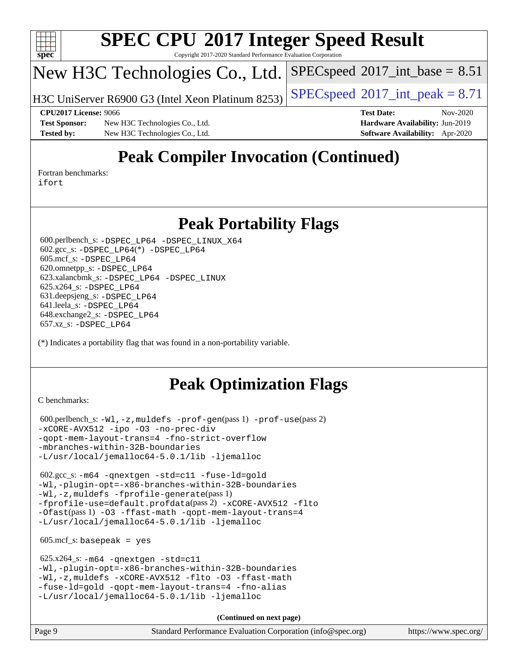

Copyright 2017-2020 Standard Performance Evaluation Corporation

# New H3C Technologies Co., Ltd.

H3C UniServer R6900 G3 (Intel Xeon Platinum 8253) [SPECspeed](http://www.spec.org/auto/cpu2017/Docs/result-fields.html#SPECspeed2017intpeak)<sup>®</sup>[2017\\_int\\_peak = 8](http://www.spec.org/auto/cpu2017/Docs/result-fields.html#SPECspeed2017intpeak).71

 $SPECspeed^{\circledcirc}2017\_int\_base = 8.51$  $SPECspeed^{\circledcirc}2017\_int\_base = 8.51$ 

**[Test Sponsor:](http://www.spec.org/auto/cpu2017/Docs/result-fields.html#TestSponsor)** New H3C Technologies Co., Ltd. **[Hardware Availability:](http://www.spec.org/auto/cpu2017/Docs/result-fields.html#HardwareAvailability)** Jun-2019 **[Tested by:](http://www.spec.org/auto/cpu2017/Docs/result-fields.html#Testedby)** New H3C Technologies Co., Ltd. **[Software Availability:](http://www.spec.org/auto/cpu2017/Docs/result-fields.html#SoftwareAvailability)** Apr-2020

**[CPU2017 License:](http://www.spec.org/auto/cpu2017/Docs/result-fields.html#CPU2017License)** 9066 **[Test Date:](http://www.spec.org/auto/cpu2017/Docs/result-fields.html#TestDate)** Nov-2020

# **[Peak Compiler Invocation \(Continued\)](http://www.spec.org/auto/cpu2017/Docs/result-fields.html#PeakCompilerInvocation)**

[Fortran benchmarks](http://www.spec.org/auto/cpu2017/Docs/result-fields.html#Fortranbenchmarks): [ifort](http://www.spec.org/cpu2017/results/res2020q4/cpu2017-20201116-24396.flags.html#user_FCpeak_intel_ifort_8111460550e3ca792625aed983ce982f94888b8b503583aa7ba2b8303487b4d8a21a13e7191a45c5fd58ff318f48f9492884d4413fa793fd88dd292cad7027ca)

## **[Peak Portability Flags](http://www.spec.org/auto/cpu2017/Docs/result-fields.html#PeakPortabilityFlags)**

 600.perlbench\_s: [-DSPEC\\_LP64](http://www.spec.org/cpu2017/results/res2020q4/cpu2017-20201116-24396.flags.html#b600.perlbench_s_peakPORTABILITY_DSPEC_LP64) [-DSPEC\\_LINUX\\_X64](http://www.spec.org/cpu2017/results/res2020q4/cpu2017-20201116-24396.flags.html#b600.perlbench_s_peakCPORTABILITY_DSPEC_LINUX_X64) 602.gcc\_s: [-DSPEC\\_LP64](http://www.spec.org/cpu2017/results/res2020q4/cpu2017-20201116-24396.flags.html#suite_peakCCLD602_gcc_s_DSPEC_LP64)(\*) [-DSPEC\\_LP64](http://www.spec.org/cpu2017/results/res2020q4/cpu2017-20201116-24396.flags.html#suite_peakPORTABILITY602_gcc_s_DSPEC_LP64) 605.mcf\_s: [-DSPEC\\_LP64](http://www.spec.org/cpu2017/results/res2020q4/cpu2017-20201116-24396.flags.html#suite_peakPORTABILITY605_mcf_s_DSPEC_LP64) 620.omnetpp\_s: [-DSPEC\\_LP64](http://www.spec.org/cpu2017/results/res2020q4/cpu2017-20201116-24396.flags.html#suite_peakPORTABILITY620_omnetpp_s_DSPEC_LP64) 623.xalancbmk\_s: [-DSPEC\\_LP64](http://www.spec.org/cpu2017/results/res2020q4/cpu2017-20201116-24396.flags.html#suite_peakPORTABILITY623_xalancbmk_s_DSPEC_LP64) [-DSPEC\\_LINUX](http://www.spec.org/cpu2017/results/res2020q4/cpu2017-20201116-24396.flags.html#b623.xalancbmk_s_peakCXXPORTABILITY_DSPEC_LINUX) 625.x264\_s: [-DSPEC\\_LP64](http://www.spec.org/cpu2017/results/res2020q4/cpu2017-20201116-24396.flags.html#suite_peakPORTABILITY625_x264_s_DSPEC_LP64) 631.deepsjeng\_s: [-DSPEC\\_LP64](http://www.spec.org/cpu2017/results/res2020q4/cpu2017-20201116-24396.flags.html#suite_peakPORTABILITY631_deepsjeng_s_DSPEC_LP64) 641.leela\_s: [-DSPEC\\_LP64](http://www.spec.org/cpu2017/results/res2020q4/cpu2017-20201116-24396.flags.html#suite_peakPORTABILITY641_leela_s_DSPEC_LP64) 648.exchange2\_s: [-DSPEC\\_LP64](http://www.spec.org/cpu2017/results/res2020q4/cpu2017-20201116-24396.flags.html#suite_peakPORTABILITY648_exchange2_s_DSPEC_LP64) 657.xz\_s: [-DSPEC\\_LP64](http://www.spec.org/cpu2017/results/res2020q4/cpu2017-20201116-24396.flags.html#suite_peakPORTABILITY657_xz_s_DSPEC_LP64)

(\*) Indicates a portability flag that was found in a non-portability variable.

# **[Peak Optimization Flags](http://www.spec.org/auto/cpu2017/Docs/result-fields.html#PeakOptimizationFlags)**

[C benchmarks](http://www.spec.org/auto/cpu2017/Docs/result-fields.html#Cbenchmarks):

```
 600.perlbench_s: -Wl,-z,muldefs -prof-gen(pass 1) -prof-use(pass 2)
-xCORE-AVX512 -ipo -O3 -no-prec-div
-qopt-mem-layout-trans=4 -fno-strict-overflow
-mbranches-within-32B-boundaries
-L/usr/local/jemalloc64-5.0.1/lib -ljemalloc
```
 602.gcc\_s: [-m64](http://www.spec.org/cpu2017/results/res2020q4/cpu2017-20201116-24396.flags.html#user_peakCCLD602_gcc_s_m64-icc) [-qnextgen](http://www.spec.org/cpu2017/results/res2020q4/cpu2017-20201116-24396.flags.html#user_peakCCLD602_gcc_s_f-qnextgen) [-std=c11](http://www.spec.org/cpu2017/results/res2020q4/cpu2017-20201116-24396.flags.html#user_peakCCLD602_gcc_s_std-icc-std_0e1c27790398a4642dfca32ffe6c27b5796f9c2d2676156f2e42c9c44eaad0c049b1cdb667a270c34d979996257aeb8fc440bfb01818dbc9357bd9d174cb8524) [-fuse-ld=gold](http://www.spec.org/cpu2017/results/res2020q4/cpu2017-20201116-24396.flags.html#user_peakCCLD602_gcc_s_f-fuse-ld_920b3586e2b8c6e0748b9c84fa9b744736ba725a32cab14ad8f3d4ad28eecb2f59d1144823d2e17006539a88734fe1fc08fc3035f7676166309105a78aaabc32) [-Wl,-plugin-opt=-x86-branches-within-32B-boundaries](http://www.spec.org/cpu2017/results/res2020q4/cpu2017-20201116-24396.flags.html#user_peakLDFLAGS602_gcc_s_f-x86-branches-within-32B-boundaries_0098b4e4317ae60947b7b728078a624952a08ac37a3c797dfb4ffeb399e0c61a9dd0f2f44ce917e9361fb9076ccb15e7824594512dd315205382d84209e912f3) [-Wl,-z,muldefs](http://www.spec.org/cpu2017/results/res2020q4/cpu2017-20201116-24396.flags.html#user_peakEXTRA_LDFLAGS602_gcc_s_link_force_multiple1_b4cbdb97b34bdee9ceefcfe54f4c8ea74255f0b02a4b23e853cdb0e18eb4525ac79b5a88067c842dd0ee6996c24547a27a4b99331201badda8798ef8a743f577) [-fprofile-generate](http://www.spec.org/cpu2017/results/res2020q4/cpu2017-20201116-24396.flags.html#user_peakPASS1_CFLAGSPASS1_LDFLAGS602_gcc_s_fprofile-generate)(pass 1) [-fprofile-use=default.profdata](http://www.spec.org/cpu2017/results/res2020q4/cpu2017-20201116-24396.flags.html#user_peakPASS2_CFLAGSPASS2_LDFLAGS602_gcc_s_fprofile-use_56aeee182b92ec249f9670f17c9b8e7d83fe2d25538e35a2cf64c434b579a2235a8b8fc66ef5678d24461366bbab9d486c870d8a72905233fc08e43eefe3cd80)(pass 2) [-xCORE-AVX512](http://www.spec.org/cpu2017/results/res2020q4/cpu2017-20201116-24396.flags.html#user_peakCOPTIMIZEPASS1_CFLAGSPASS1_LDFLAGS602_gcc_s_f-xCORE-AVX512) [-flto](http://www.spec.org/cpu2017/results/res2020q4/cpu2017-20201116-24396.flags.html#user_peakCOPTIMIZEPASS1_CFLAGSPASS1_LDFLAGS602_gcc_s_f-flto) [-Ofast](http://www.spec.org/cpu2017/results/res2020q4/cpu2017-20201116-24396.flags.html#user_peakPASS1_CFLAGSPASS1_LDFLAGS602_gcc_s_f-Ofast)(pass 1) [-O3](http://www.spec.org/cpu2017/results/res2020q4/cpu2017-20201116-24396.flags.html#user_peakCOPTIMIZE602_gcc_s_f-O3) [-ffast-math](http://www.spec.org/cpu2017/results/res2020q4/cpu2017-20201116-24396.flags.html#user_peakCOPTIMIZE602_gcc_s_f-ffast-math) [-qopt-mem-layout-trans=4](http://www.spec.org/cpu2017/results/res2020q4/cpu2017-20201116-24396.flags.html#user_peakCOPTIMIZE602_gcc_s_f-qopt-mem-layout-trans_fa39e755916c150a61361b7846f310bcdf6f04e385ef281cadf3647acec3f0ae266d1a1d22d972a7087a248fd4e6ca390a3634700869573d231a252c784941a8) [-L/usr/local/jemalloc64-5.0.1/lib](http://www.spec.org/cpu2017/results/res2020q4/cpu2017-20201116-24396.flags.html#user_peakEXTRA_LIBS602_gcc_s_jemalloc_link_path64_1_cc289568b1a6c0fd3b62c91b824c27fcb5af5e8098e6ad028160d21144ef1b8aef3170d2acf0bee98a8da324cfe4f67d0a3d0c4cc4673d993d694dc2a0df248b) [-ljemalloc](http://www.spec.org/cpu2017/results/res2020q4/cpu2017-20201116-24396.flags.html#user_peakEXTRA_LIBS602_gcc_s_jemalloc_link_lib_d1249b907c500fa1c0672f44f562e3d0f79738ae9e3c4a9c376d49f265a04b9c99b167ecedbf6711b3085be911c67ff61f150a17b3472be731631ba4d0471706)

 $605.\text{mcf}\text{ s}:$  basepeak = yes

```
 625.x264_s: -m64 -qnextgen -std=c11
-Wl,-plugin-opt=-x86-branches-within-32B-boundaries
-Wl,-z,muldefs -xCORE-AVX512 -flto -O3 -ffast-math
-fuse-ld=gold -qopt-mem-layout-trans=4 -fno-alias
-L/usr/local/jemalloc64-5.0.1/lib -ljemalloc
```
**(Continued on next page)**